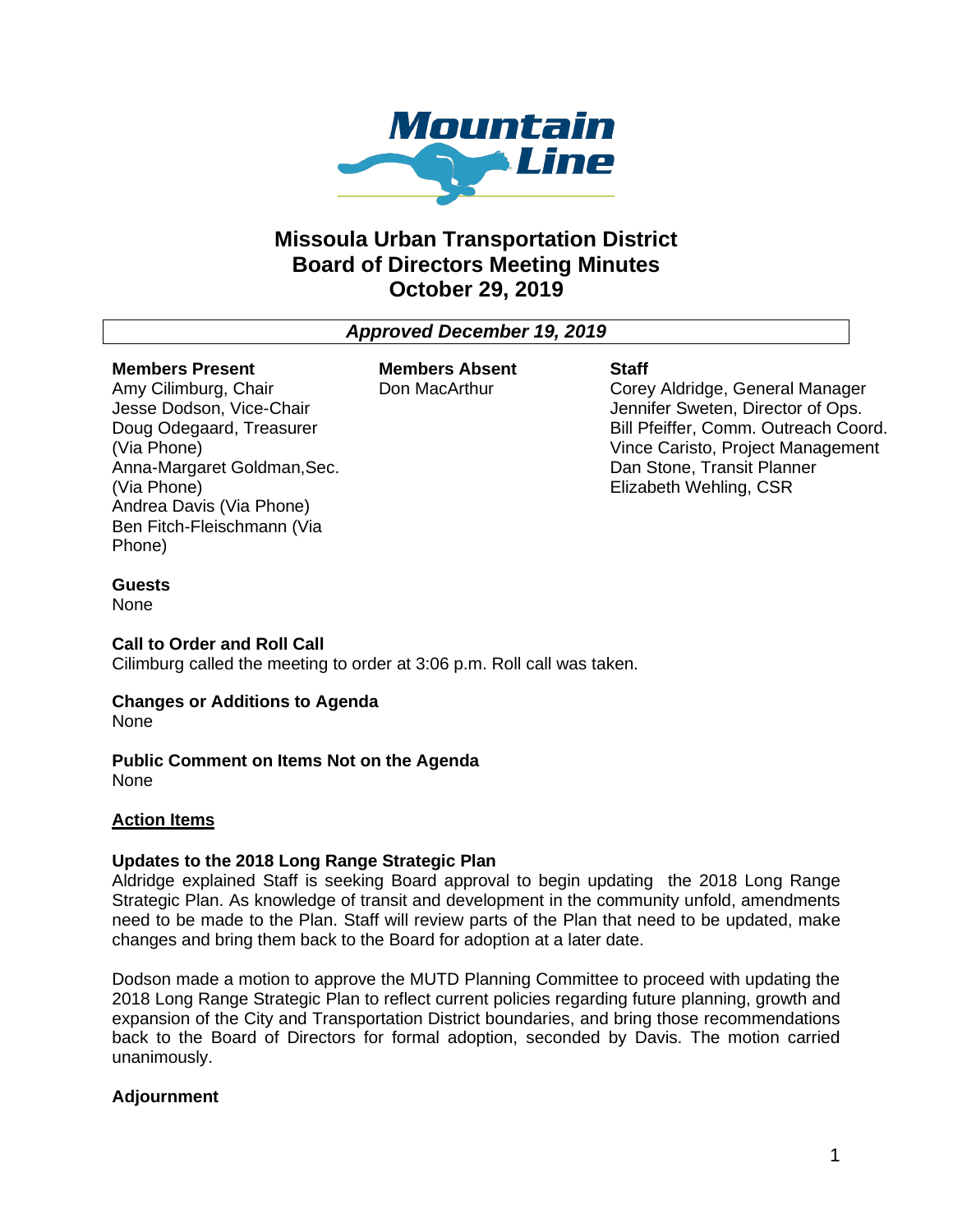

## **Missoula Urban Transportation District Board of Directors Meeting Minutes October 29, 2019**

*Approved December 19, 2019*

#### **Members Present** Amy Cilimburg, Chair

(Via Phone)

(Via Phone)

Jesse Dodson, Vice-Chair Doug Odegaard, Treasurer

Andrea Davis (Via Phone) Ben Fitch-Fleischmann (Via

Anna-Margaret Goldman,Sec.

**Members Absent** Don MacArthur

#### **Staff**

Corey Aldridge, General Manager Jennifer Sweten, Director of Ops. Bill Pfeiffer, Comm. Outreach Coord. Vince Caristo, Project Management Dan Stone, Transit Planner Elizabeth Wehling, CSR

### **Guests**

Phone)

None

#### **Call to Order and Roll Call**

Cilimburg called the meeting to order at 3:06 p.m. Roll call was taken.

#### **Changes or Additions to Agenda**

None

# **Public Comment on Items Not on the Agenda**

None

#### **Action Items**

#### **Updates to the 2018 Long Range Strategic Plan**

Aldridge explained Staff is seeking Board approval to begin updating the 2018 Long Range Strategic Plan. As knowledge of transit and development in the community unfold, amendments need to be made to the Plan. Staff will review parts of the Plan that need to be updated, make changes and bring them back to the Board for adoption at a later date.

Dodson made a motion to approve the MUTD Planning Committee to proceed with updating the 2018 Long Range Strategic Plan to reflect current policies regarding future planning, growth and expansion of the City and Transportation District boundaries, and bring those recommendations back to the Board of Directors for formal adoption, seconded by Davis. The motion carried unanimously.

#### **Adjournment**